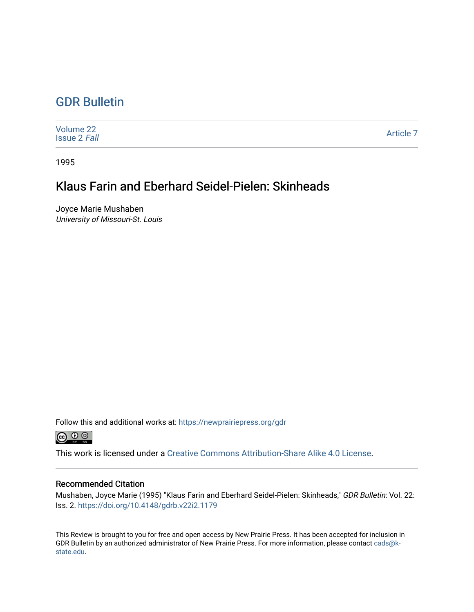# [GDR Bulletin](https://newprairiepress.org/gdr)

| Volume 22<br><b>Issue 2 Fall</b> | Article 7 |
|----------------------------------|-----------|
|----------------------------------|-----------|

1995

# Klaus Farin and Eberhard Seidel-Pielen: Skinheads

Joyce Marie Mushaben University of Missouri-St. Louis

Follow this and additional works at: [https://newprairiepress.org/gdr](https://newprairiepress.org/gdr?utm_source=newprairiepress.org%2Fgdr%2Fvol22%2Fiss2%2F7&utm_medium=PDF&utm_campaign=PDFCoverPages) 



This work is licensed under a [Creative Commons Attribution-Share Alike 4.0 License.](https://creativecommons.org/licenses/by-sa/4.0/)

### Recommended Citation

Mushaben, Joyce Marie (1995) "Klaus Farin and Eberhard Seidel-Pielen: Skinheads," GDR Bulletin: Vol. 22: Iss. 2. <https://doi.org/10.4148/gdrb.v22i2.1179>

This Review is brought to you for free and open access by New Prairie Press. It has been accepted for inclusion in GDR Bulletin by an authorized administrator of New Prairie Press. For more information, please contact [cads@k](mailto:cads@k-state.edu)[state.edu](mailto:cads@k-state.edu).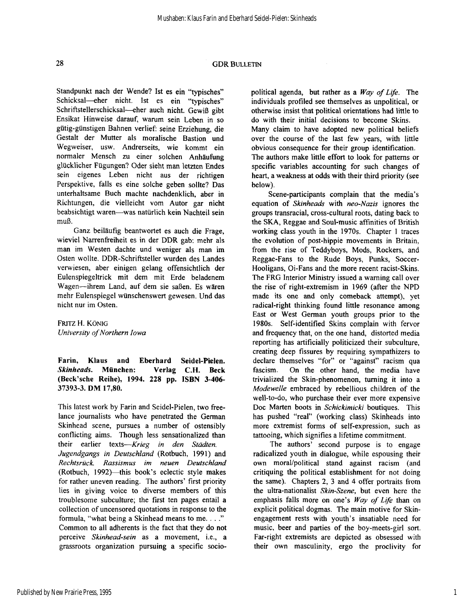### 28 GDR **BULLETIN**

Standpunkt nach der Wende? Ist es ein "typisches" Schicksal—eher nicht. Ist es ein "typisches" Schriftstellerschicksal—eher auch nicht. Gewiß gibt Ensikat Hinweise darauf, warum sein Leben in so gütig-günstigen Bahnen verlief: seine Erziehung, die Gestalt der Mutter als moralische Bastion und Wegweiser, usw. Andrerseits, wie kommt ein normaler Mensch zu einer solchen Anhäufung glücklicher Fügungen? Oder sieht man letzten Endes sein eigenes Leben nicht aus der richtigen Perspektive, falls es eine solche geben sollte? Das unterhaltsame Buch machte nachdenklich, aber in Richtungen, die vielleicht vom Autor gar nicht beabsichtigt waren—was natürlich kein Nachteil sein muß.

Ganz beiläufig beantwortet es auch die Frage, wieviel Narrenfreiheit es in der DDR gab: mehr als man im Westen dachte und weniger als man im Osten wollte. DDR-Schriftsteller wurden des Landes verwiesen, aber einigen gelang offensichtlich der Eulenspiegeltrick mit dem mit Erde beladenem Wagen—ihrem Land, auf dem sie saßen. Es wären mehr Eulenspiegel wünschenswert gewesen. Und das nicht nur im Osten.

**FRITZ** H. **KÖNIG**  *University of Northern Iowa* 

**Farin, Klaus and Eberhard Seidel-Pielen.**  *Skinheads.* **München: Verlag C.H. Beck (Beck'sche Reihe), 1994. 228 pp. ISBN 3-406¬ 37393-3. DM 17,80.** 

This latest work by Farin and Seidel-Pielen, two freelance journalists who have penetrated the German Skinhead scene, pursues a number of ostensibly conflicting aims. Though less sensationalized than their earlier texts—*Krieg in den Städten. Jugendgangs in Deutschland* (Rotbuch, 1991) and *Rechtsrück. Rassismus im neuen Deutschland*  (Rotbuch, 1992)—this book's eclectic style makes for rather uneven reading. The authors' first priority lies in giving voice to diverse members of this troublesome subculture; the first ten pages entail **a**  collection of uncensored quotations in response to the formula, "what being a Skinhead means to me. . . ." Common to all adherents is the fact that they do not perceive *Skinhead-sein* as a movement, i.e., a grassroots organization pursuing a specific sociopolitical agenda, but rather as a *Way of Life.* The individuals profiled see themselves as unpolitical, or otherwise insist that political orientations had little to do with their initial decisions to become Skins. Many claim to have adopted new political beliefs over the course of the last few years, with little obvious consequence for their group identification. The authors make little effort to look for patterns or specific variables accounting for such changes of heart, a weakness at odds with their third priority (see below).

Scene-participants complain that the media's equation of *Skinheads* with *neo-Nazis* ignores the groups transracial, cross-cultural roots, dating back to the SKA, Reggae and Soul-music affinities of British working class youth in the 1970s. Chapter 1 traces the evolution of post-hippie movements in Britain, from the rise of Teddyboys, Mods, Rockers, and Reggae-Fans to the Rude Boys, Punks, Soccer-Hooligans, Oi-Fans and the more recent racist-Skins. The FRG Interior Ministry issued a warning call over the rise of right-extremism in 1969 (after the NPD made its one and only comeback attempt), yet radical-right thinking found little resonance among East or West German youth groups prior to the 1980s. Self-identified Skins complain with fervor and frequency that, on the one hand, distorted media reporting has artificially politicized their subculture, creating deep fissures by requiring sympathizers to declare themselves "for" or "against" racism qua fascism. On the other hand, the media have trivialized the Skin-phenomenon, turning it into a *Modewelle* embraced by rebellious children of the well-to-do, who purchase their ever more expensive Doc Marten boots in *Schickimicki* boutiques. This has pushed "real" (working class) Skinheads into more extremist forms of self-expression, such as tattooing, which signifies a lifetime commitment.

The authors' second purpose is to engage radicalized youth in dialogue, while espousing their own moral/political stand against racism (and critiquing the political establishment for not doing the same). Chapters 2, 3 and 4 offer portraits from the ultra-nationalist *Skin-Szene,* but even here the emphasis falls more on one's *Way of Life* than on explicit political dogmas. The main motive for Skinengagement rests with youth's insatiable need for music, beer and parties of the boy-meets-girl sort. Far-right extremists are depicted as obsessed with their own masculinity, ergo the proclivity for

1